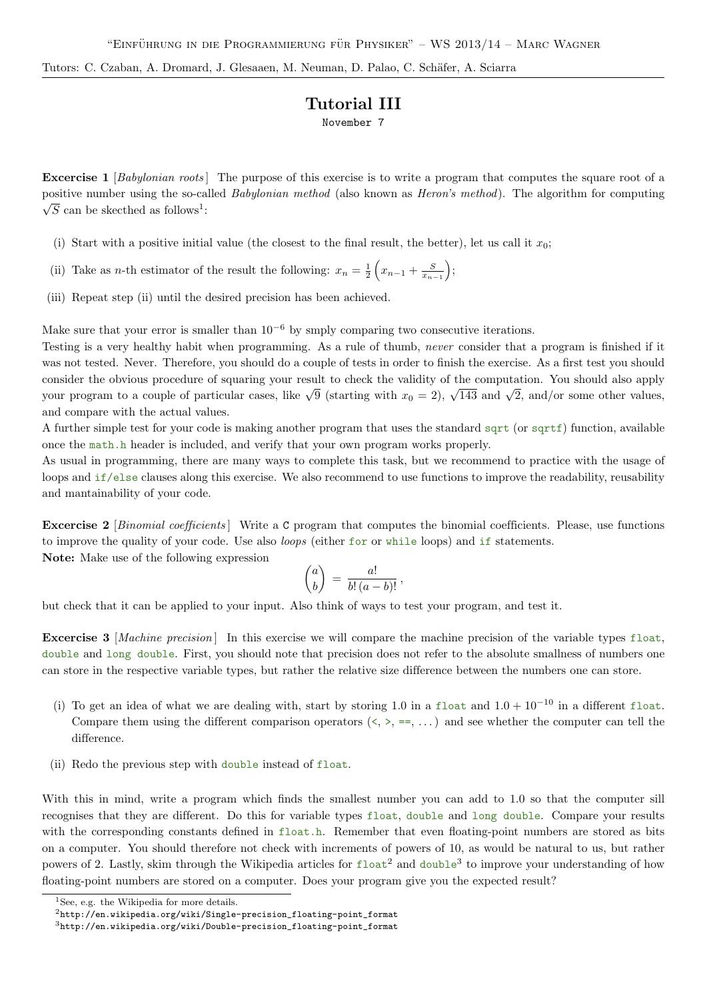Tutors: C. Czaban, A. Dromard, J. Glesaaen, M. Neuman, D. Palao, C. Schäfer, A. Sciarra

## Tutorial III

November 7

Excercise 1 [Babylonian roots] The purpose of this exercise is to write a program that computes the square root of a positive number using the so-called *Babylonian method* (also known as *Heron's method*). The algorithm for computing  $\overline{\mathbb{R}}$  $\overline{S}$  can be skecthed as follows<sup>1</sup>:

- (i) Start with a positive initial value (the closest to the final result, the better), let us call it  $x_0$ ;
- (ii) Take as n-th estimator of the result the following:  $x_n = \frac{1}{2} \left( x_{n-1} + \frac{S}{x_{n-1}} \right);$
- (iii) Repeat step (ii) until the desired precision has been achieved.

Make sure that your error is smaller than  $10^{-6}$  by smply comparing two consecutive iterations.

Testing is a very healthy habit when programming. As a rule of thumb, never consider that a program is finished if it was not tested. Never. Therefore, you should do a couple of tests in order to finish the exercise. As a first test you should consider the obvious procedure of squaring your result to check the validity of the computation. You should also apply your program to a couple of particular cases, like  $\sqrt{9}$  (starting with  $x_0 = 2$ ),  $\sqrt{143}$  and  $\sqrt{2}$ , and/or some other values, and compare with the actual values.

A further simple test for your code is making another program that uses the standard sqrt (or sqrtf) function, available once the math.h header is included, and verify that your own program works properly.

As usual in programming, there are many ways to complete this task, but we recommend to practice with the usage of loops and if/else clauses along this exercise. We also recommend to use functions to improve the readability, reusability and mantainability of your code.

Excercise 2 [Binomial coefficients] Write a C program that computes the binomial coefficients. Please, use functions to improve the quality of your code. Use also loops (either for or while loops) and if statements.

Note: Make use of the following expression

$$
\binom{a}{b} = \frac{a!}{b!(a-b)!},
$$

but check that it can be applied to your input. Also think of ways to test your program, and test it.

Excercise 3 [Machine precision] In this exercise we will compare the machine precision of the variable types float, double and long double. First, you should note that precision does not refer to the absolute smallness of numbers one can store in the respective variable types, but rather the relative size difference between the numbers one can store.

- (i) To get an idea of what we are dealing with, start by storing 1.0 in a float and  $1.0 + 10^{-10}$  in a different float. Compare them using the different comparison operators  $(\langle, \rangle, =, \ldots)$  and see whether the computer can tell the difference.
- (ii) Redo the previous step with double instead of float.

With this in mind, write a program which finds the smallest number you can add to 1.0 so that the computer sill recognises that they are different. Do this for variable types float, double and long double. Compare your results with the corresponding constants defined in float.h. Remember that even floating-point numbers are stored as bits on a computer. You should therefore not check with increments of powers of 10, as would be natural to us, but rather powers of 2. Lastly, skim through the Wikipedia articles for  $float^2$  and double<sup>3</sup> to improve your understanding of how floating-point numbers are stored on a computer. Does your program give you the expected result?

<sup>&</sup>lt;sup>1</sup>See, e.g. the Wikipedia for more details.

<sup>2</sup>http://en.wikipedia.org/wiki/Single-precision\_floating-point\_format

 $3$ http://en.wikipedia.org/wiki/Double-precision\_floating-point\_format